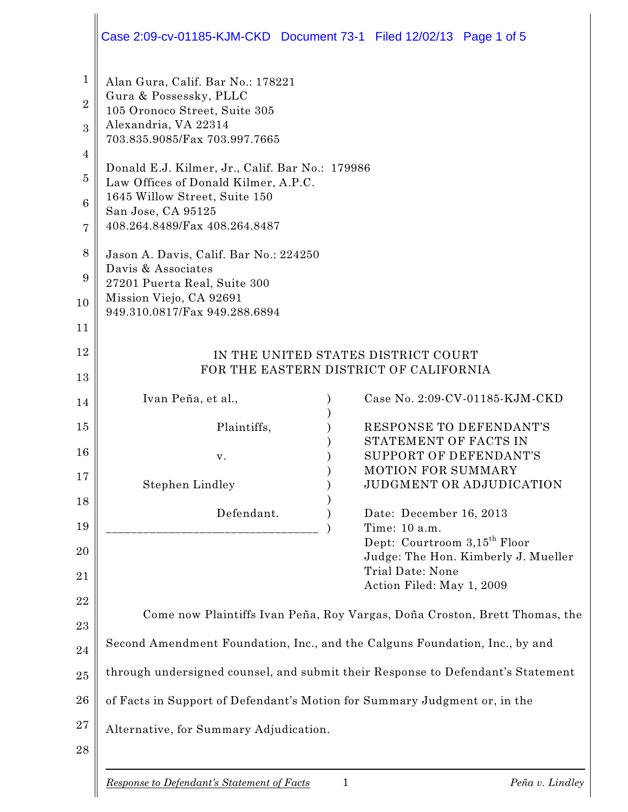|                                                                                                          | Case 2:09-cv-01185-KJM-CKD Document 73-1 Filed 12/02/13 Page 1 of 5                                                                                                                                                                                                                                                                                                                                                                                                                                  |                                                                                                                                                                              |  |
|----------------------------------------------------------------------------------------------------------|------------------------------------------------------------------------------------------------------------------------------------------------------------------------------------------------------------------------------------------------------------------------------------------------------------------------------------------------------------------------------------------------------------------------------------------------------------------------------------------------------|------------------------------------------------------------------------------------------------------------------------------------------------------------------------------|--|
| $\mathbf{1}$<br>$\overline{2}$<br>3<br>4<br>$\overline{5}$<br>$6\phantom{1}6$<br>7<br>8<br>9<br>10<br>11 | Alan Gura, Calif. Bar No.: 178221<br>Gura & Possessky, PLLC<br>105 Oronoco Street, Suite 305<br>Alexandria, VA 22314<br>703.835.9085/Fax 703.997.7665<br>Donald E.J. Kilmer, Jr., Calif. Bar No.: 179986<br>Law Offices of Donald Kilmer, A.P.C.<br>1645 Willow Street, Suite 150<br>San Jose, CA 95125<br>408.264.8489/Fax 408.264.8487<br>Jason A. Davis, Calif. Bar No.: 224250<br>Davis & Associates<br>27201 Puerta Real, Suite 300<br>Mission Viejo, CA 92691<br>949.310.0817/Fax 949.288.6894 |                                                                                                                                                                              |  |
| 12<br>13                                                                                                 | IN THE UNITED STATES DISTRICT COURT<br>FOR THE EASTERN DISTRICT OF CALIFORNIA                                                                                                                                                                                                                                                                                                                                                                                                                        |                                                                                                                                                                              |  |
| 14                                                                                                       | Ivan Peña, et al.,                                                                                                                                                                                                                                                                                                                                                                                                                                                                                   | Case No. 2:09-CV-01185-KJM-CKD                                                                                                                                               |  |
| 15<br>16<br>17                                                                                           | Plaintiffs,<br>v.<br><b>Stephen Lindley</b>                                                                                                                                                                                                                                                                                                                                                                                                                                                          | RESPONSE TO DEFENDANT'S<br>STATEMENT OF FACTS IN<br>SUPPORT OF DEFENDANT'S<br>MOTION FOR SUMMARY<br>JUDGMENT OR ADJUDICATION                                                 |  |
| 18<br>19<br>20<br>21                                                                                     | Defendant.                                                                                                                                                                                                                                                                                                                                                                                                                                                                                           | Date: December 16, 2013<br>Time: 10 a.m.<br>Dept: Courtroom 3,15 <sup>th</sup> Floor<br>Judge: The Hon. Kimberly J. Mueller<br>Trial Date: None<br>Action Filed: May 1, 2009 |  |
| 22<br>23<br>24                                                                                           | Come now Plaintiffs Ivan Peña, Roy Vargas, Doña Croston, Brett Thomas, the<br>Second Amendment Foundation, Inc., and the Calguns Foundation, Inc., by and                                                                                                                                                                                                                                                                                                                                            |                                                                                                                                                                              |  |
| 25                                                                                                       | through undersigned counsel, and submit their Response to Defendant's Statement                                                                                                                                                                                                                                                                                                                                                                                                                      |                                                                                                                                                                              |  |
| 26                                                                                                       | of Facts in Support of Defendant's Motion for Summary Judgment or, in the                                                                                                                                                                                                                                                                                                                                                                                                                            |                                                                                                                                                                              |  |
| 27<br>28                                                                                                 | Alternative, for Summary Adjudication.                                                                                                                                                                                                                                                                                                                                                                                                                                                               |                                                                                                                                                                              |  |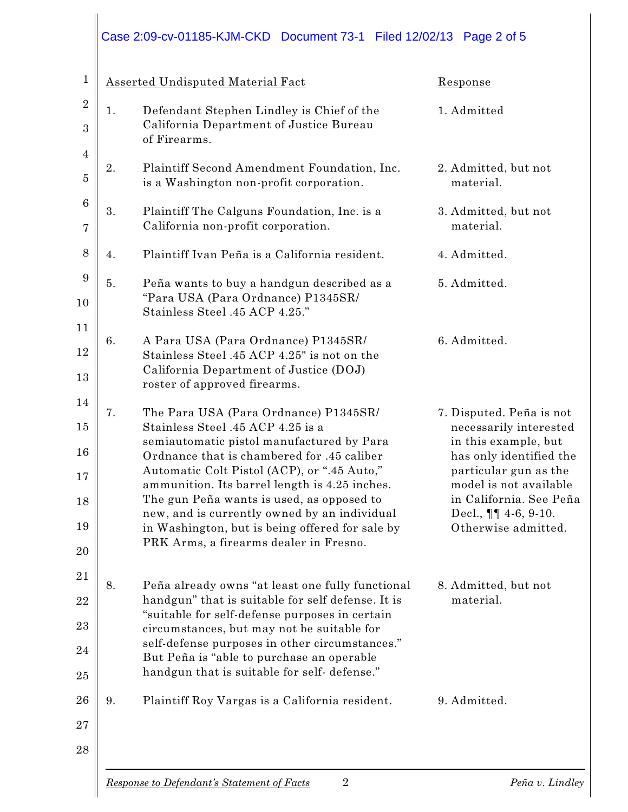## Case 2:09-cv-01185-KJM-CKD Document 73-1 Filed 12/02/13 Page 2 of 5

| $\mathbf{1}$     |                                                                      | Asserted Undisputed Material Fact                                                                                                          | Response                                                                      |
|------------------|----------------------------------------------------------------------|--------------------------------------------------------------------------------------------------------------------------------------------|-------------------------------------------------------------------------------|
| $\boldsymbol{2}$ | 1.                                                                   | Defendant Stephen Lindley is Chief of the                                                                                                  | 1. Admitted                                                                   |
| 3                |                                                                      | California Department of Justice Bureau<br>of Firearms.                                                                                    |                                                                               |
| $\overline{4}$   | 2.                                                                   | Plaintiff Second Amendment Foundation, Inc.                                                                                                |                                                                               |
| $\overline{5}$   |                                                                      | is a Washington non-profit corporation.                                                                                                    | 2. Admitted, but not<br>material.                                             |
| $\boldsymbol{6}$ | 3.                                                                   | Plaintiff The Calguns Foundation, Inc. is a                                                                                                | 3. Admitted, but not                                                          |
| $\overline{7}$   |                                                                      | California non-profit corporation.                                                                                                         | material.                                                                     |
| 8                | 4.                                                                   | Plaintiff Ivan Peña is a California resident.                                                                                              | 4. Admitted.                                                                  |
| 9                | 5.                                                                   | Peña wants to buy a handgun described as a                                                                                                 | 5. Admitted.                                                                  |
| 10               | "Para USA (Para Ordnance) P1345SR/<br>Stainless Steel .45 ACP 4.25." |                                                                                                                                            |                                                                               |
| 11               | 6.                                                                   | A Para USA (Para Ordnance) P1345SR/                                                                                                        | 6. Admitted.                                                                  |
| 12               |                                                                      | Stainless Steel .45 ACP 4.25" is not on the<br>California Department of Justice (DOJ)                                                      |                                                                               |
| 13               |                                                                      | roster of approved firearms.                                                                                                               |                                                                               |
| 14               | 7.                                                                   | The Para USA (Para Ordnance) P1345SR/                                                                                                      | 7. Disputed. Peña is not                                                      |
| 15               |                                                                      | Stainless Steel .45 ACP 4.25 is a<br>semiautomatic pistol manufactured by Para                                                             | necessarily interested<br>in this example, but                                |
| 16<br>17         |                                                                      | Ordnance that is chambered for .45 caliber<br>Automatic Colt Pistol (ACP), or ".45 Auto,"                                                  | has only identified the<br>particular gun as the                              |
| 18               |                                                                      | ammunition. Its barrel length is 4.25 inches.<br>The gun Peña wants is used, as opposed to<br>new, and is currently owned by an individual | model is not available<br>in California. See Peña<br>Decl., $\P\P$ 4-6, 9-10. |
| 19               |                                                                      | in Washington, but is being offered for sale by<br>PRK Arms, a firearms dealer in Fresno.                                                  | Otherwise admitted.                                                           |
| 20               |                                                                      |                                                                                                                                            |                                                                               |
| 21               | 8.                                                                   | Peña already owns "at least one fully functional                                                                                           | 8. Admitted, but not                                                          |
| 22               |                                                                      | handgun" that is suitable for self defense. It is<br>"suitable for self-defense purposes in certain                                        | material.                                                                     |
| 23               |                                                                      | circumstances, but may not be suitable for                                                                                                 |                                                                               |
| 24               |                                                                      | self-defense purposes in other circumstances."<br>But Peña is "able to purchase an operable                                                |                                                                               |
| 25               |                                                                      | handgun that is suitable for self-defense."                                                                                                |                                                                               |
| 26               | 9.                                                                   | Plaintiff Roy Vargas is a California resident.                                                                                             | 9. Admitted.                                                                  |
| 27               |                                                                      |                                                                                                                                            |                                                                               |
| 28               |                                                                      |                                                                                                                                            |                                                                               |
|                  |                                                                      |                                                                                                                                            |                                                                               |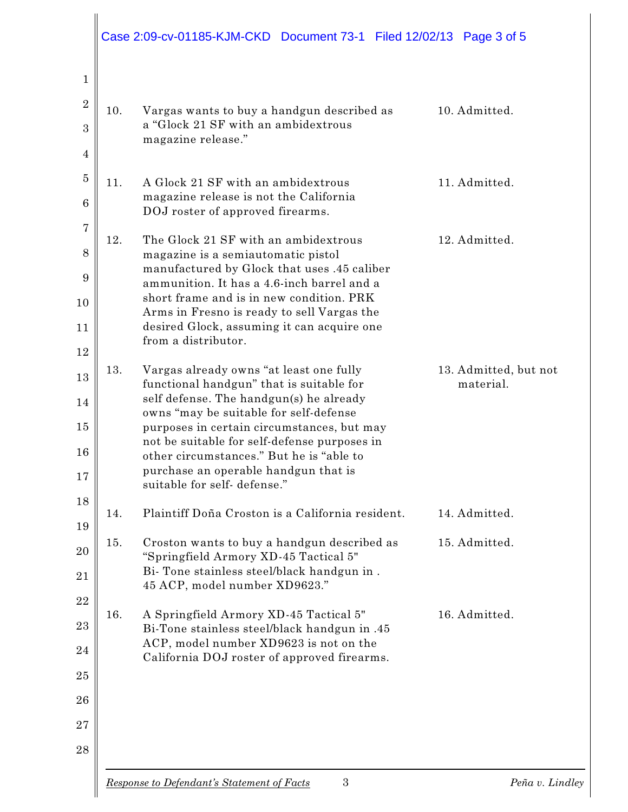|     | Case 2:09-cv-01185-KJM-CKD Document 73-1 Filed 12/02/13 Page 3 of 5                      |                       |
|-----|------------------------------------------------------------------------------------------|-----------------------|
| 10. | Vargas wants to buy a handgun described as                                               | 10. Admitted.         |
|     | a "Glock 21 SF with an ambidextrous                                                      |                       |
|     | magazine release."                                                                       |                       |
| 11. | A Glock 21 SF with an ambidextrous                                                       | 11. Admitted.         |
|     | magazine release is not the California<br>DOJ roster of approved firearms.               |                       |
| 12. | The Glock 21 SF with an ambidextrous                                                     | 12. Admitted.         |
|     | magazine is a semiautomatic pistol<br>manufactured by Glock that uses .45 caliber        |                       |
|     | ammunition. It has a 4.6-inch barrel and a<br>short frame and is in new condition. PRK   |                       |
|     | Arms in Fresno is ready to sell Vargas the<br>desired Glock, assuming it can acquire one |                       |
|     | from a distributor.                                                                      |                       |
| 13. | Vargas already owns "at least one fully                                                  | 13. Admitted, but not |
|     | functional handgun" that is suitable for<br>self defense. The handgun(s) he already      | material.             |
|     | owns "may be suitable for self-defense<br>purposes in certain circumstances, but may     |                       |
|     | not be suitable for self-defense purposes in<br>other circumstances." But he is "able to |                       |
|     | purchase an operable handgun that is<br>suitable for self-defense."                      |                       |
| 14. | Plaintiff Doña Croston is a California resident.                                         | 14. Admitted.         |
| 15. | Croston wants to buy a handgun described as<br>"Springfield Armory XD-45 Tactical 5"     | 15. Admitted.         |
|     | Bi- Tone stainless steel/black handgun in.<br>45 ACP, model number XD9623."              |                       |
| 16. | A Springfield Armory XD-45 Tactical 5"<br>Bi-Tone stainless steel/black handgun in .45   | 16. Admitted.         |
|     | ACP, model number XD9623 is not on the<br>California DOJ roster of approved firearms.    |                       |
|     |                                                                                          |                       |
|     |                                                                                          |                       |
|     |                                                                                          |                       |
|     | $\mathbf{3}$<br>Response to Defendant's Statement of Facts                               | Peña v. Lindley       |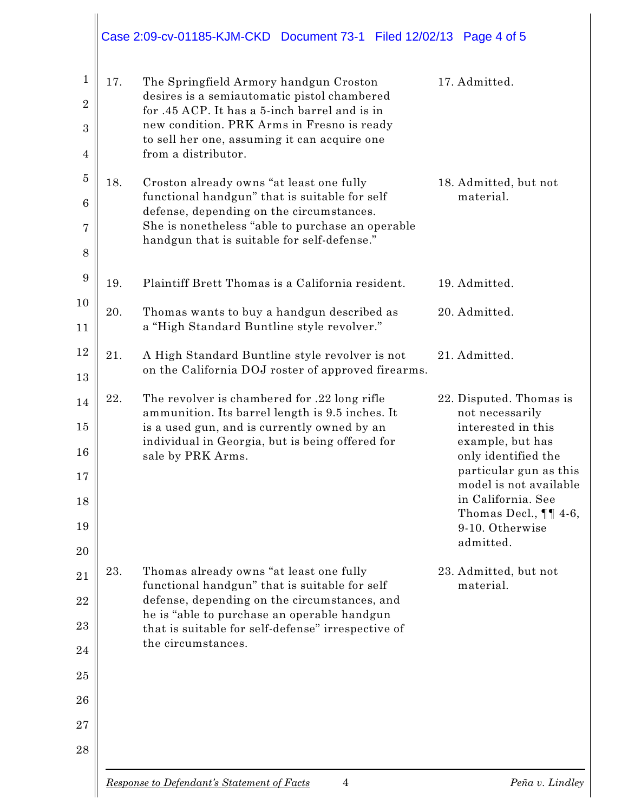|                                                |     | Case 2:09-cv-01185-KJM-CKD Document 73-1 Filed 12/02/13 Page 4 of 5                                                                                                                                                                                                 |                                                                                                                                                                                                                                                    |
|------------------------------------------------|-----|---------------------------------------------------------------------------------------------------------------------------------------------------------------------------------------------------------------------------------------------------------------------|----------------------------------------------------------------------------------------------------------------------------------------------------------------------------------------------------------------------------------------------------|
| 1<br>$\boldsymbol{2}$<br>$\boldsymbol{3}$<br>4 | 17. | The Springfield Armory handgun Croston<br>desires is a semiautomatic pistol chambered<br>for .45 ACP. It has a 5-inch barrel and is in<br>new condition. PRK Arms in Fresno is ready<br>to sell her one, assuming it can acquire one<br>from a distributor.         | 17. Admitted.                                                                                                                                                                                                                                      |
| $\overline{5}$<br>$6\phantom{.}6$<br>7<br>8    | 18. | Croston already owns "at least one fully<br>functional handgun" that is suitable for self<br>defense, depending on the circumstances.<br>She is nonetheless "able to purchase an operable<br>handgun that is suitable for self-defense."                            | 18. Admitted, but not<br>material.                                                                                                                                                                                                                 |
| 9                                              | 19. | Plaintiff Brett Thomas is a California resident.                                                                                                                                                                                                                    | 19. Admitted.                                                                                                                                                                                                                                      |
| 10<br>11                                       | 20. | Thomas wants to buy a handgun described as<br>a "High Standard Buntline style revolver."                                                                                                                                                                            | 20. Admitted.                                                                                                                                                                                                                                      |
| 12<br>13                                       | 21. | A High Standard Buntline style revolver is not<br>on the California DOJ roster of approved firearms.                                                                                                                                                                | 21. Admitted.                                                                                                                                                                                                                                      |
| 14<br>15<br>16<br>$17\,$<br>18<br>19<br>20     | 22. | The revolver is chambered for .22 long rifle<br>ammunition. Its barrel length is 9.5 inches. It<br>is a used gun, and is currently owned by an<br>individual in Georgia, but is being offered for<br>sale by PRK Arms.                                              | 22. Disputed. Thomas is<br>not necessarily<br>interested in this<br>example, but has<br>only identified the<br>particular gun as this<br>model is not available<br>in California. See<br>Thomas Decl., $\P\P$ 4-6,<br>9-10. Otherwise<br>admitted. |
| 21<br>22<br>23<br>24<br>25<br>26<br>27<br>28   | 23. | Thomas already owns "at least one fully<br>functional handgun" that is suitable for self<br>defense, depending on the circumstances, and<br>he is "able to purchase an operable handgun<br>that is suitable for self-defense" irrespective of<br>the circumstances. | 23. Admitted, but not<br>material.                                                                                                                                                                                                                 |
|                                                |     |                                                                                                                                                                                                                                                                     |                                                                                                                                                                                                                                                    |